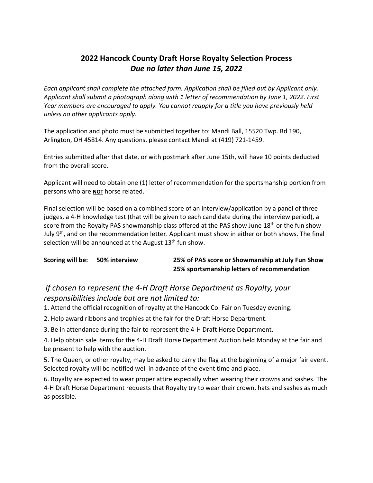## **2022 Hancock County Draft Horse Royalty Selection Process** *Due no later than June 15, 2022*

*Each applicant shall complete the attached form. Application shall be filled out by Applicant only. Applicant shall submit a photograph along with 1 letter of recommendation by June 1, 2022. First Year members are encouraged to apply. You cannot reapply for a title you have previously held unless no other applicants apply.* 

The application and photo must be submitted together to: Mandi Ball, 15520 Twp. Rd 190, Arlington, OH 45814. Any questions, please contact Mandi at (419) 721-1459.

Entries submitted after that date, or with postmark after June 15th, will have 10 points deducted from the overall score.

Applicant will need to obtain one (1) letter of recommendation for the sportsmanship portion from persons who are **NOT** horse related.

Final selection will be based on a combined score of an interview/application by a panel of three judges, a 4-H knowledge test (that will be given to each candidate during the interview period), a score from the Royalty PAS showmanship class offered at the PAS show June 18<sup>th</sup> or the fun show July 9<sup>th</sup>, and on the recommendation letter. Applicant must show in either or both shows. The final selection will be announced at the August 13<sup>th</sup> fun show.

| Scoring will be: | <b>50% interview</b> | 25% of PAS score or Showmanship at July Fun Show |
|------------------|----------------------|--------------------------------------------------|
|                  |                      | 25% sportsmanship letters of recommendation      |

### *If chosen to represent the 4-H Draft Horse Department as Royalty, your responsibilities include but are not limited to:*

1. Attend the official recognition of royalty at the Hancock Co. Fair on Tuesday evening.

2. Help award ribbons and trophies at the fair for the Draft Horse Department.

3. Be in attendance during the fair to represent the 4-H Draft Horse Department.

4. Help obtain sale items for the 4-H Draft Horse Department Auction held Monday at the fair and be present to help with the auction.

5. The Queen, or other royalty, may be asked to carry the flag at the beginning of a major fair event. Selected royalty will be notified well in advance of the event time and place.

6. Royalty are expected to wear proper attire especially when wearing their crowns and sashes. The 4-H Draft Horse Department requests that Royalty try to wear their crown, hats and sashes as much as possible.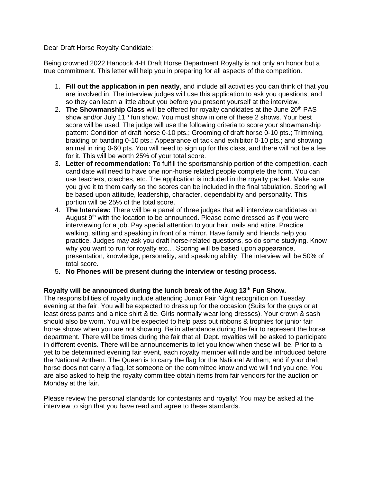Dear Draft Horse Royalty Candidate:

Being crowned 2022 Hancock 4-H Draft Horse Department Royalty is not only an honor but a true commitment. This letter will help you in preparing for all aspects of the competition.

- 1. **Fill out the application in pen neatly**, and include all activities you can think of that you are involved in. The interview judges will use this application to ask you questions, and so they can learn a little about you before you present yourself at the interview.
- 2. **The Showmanship Class** will be offered for royalty candidates at the June 20th PAS show and/or July 11<sup>th</sup> fun show. You must show in one of these 2 shows. Your best score will be used. The judge will use the following criteria to score your showmanship pattern: Condition of draft horse 0-10 pts.; Grooming of draft horse 0-10 pts.; Trimming, braiding or banding 0-10 pts.; Appearance of tack and exhibitor 0-10 pts.; and showing animal in ring 0-60 pts. You will need to sign up for this class, and there will not be a fee for it. This will be worth 25% of your total score.
- 3. **Letter of recommendation:** To fulfill the sportsmanship portion of the competition, each candidate will need to have one non-horse related people complete the form. You can use teachers, coaches, etc. The application is included in the royalty packet. Make sure you give it to them early so the scores can be included in the final tabulation. Scoring will be based upon attitude, leadership, character, dependability and personality. This portion will be 25% of the total score.
- 4. **The Interview:** There will be a panel of three judges that will interview candidates on August 9<sup>th</sup> with the location to be announced. Please come dressed as if you were interviewing for a job. Pay special attention to your hair, nails and attire. Practice walking, sitting and speaking in front of a mirror. Have family and friends help you practice. Judges may ask you draft horse-related questions, so do some studying. Know why you want to run for royalty etc… Scoring will be based upon appearance, presentation, knowledge, personality, and speaking ability. The interview will be 50% of total score.
- 5. **No Phones will be present during the interview or testing process.**

#### **Royalty will be announced during the lunch break of the Aug 13th Fun Show.**

The responsibilities of royalty include attending Junior Fair Night recognition on Tuesday evening at the fair. You will be expected to dress up for the occasion (Suits for the guys or at least dress pants and a nice shirt & tie. Girls normally wear long dresses). Your crown & sash should also be worn. You will be expected to help pass out ribbons & trophies for junior fair horse shows when you are not showing. Be in attendance during the fair to represent the horse department. There will be times during the fair that all Dept. royalties will be asked to participate in different events. There will be announcements to let you know when these will be. Prior to a yet to be determined evening fair event, each royalty member will ride and be introduced before the National Anthem. The Queen is to carry the flag for the National Anthem, and if your draft horse does not carry a flag, let someone on the committee know and we will find you one. You are also asked to help the royalty committee obtain items from fair vendors for the auction on Monday at the fair.

Please review the personal standards for contestants and royalty! You may be asked at the interview to sign that you have read and agree to these standards.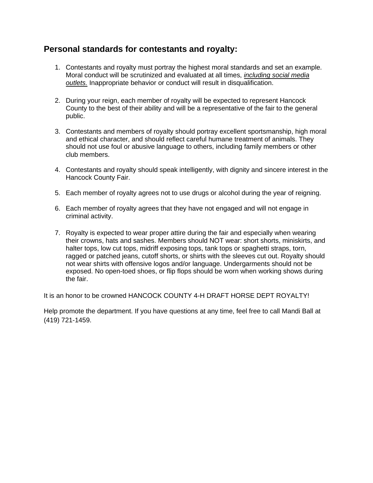### **Personal standards for contestants and royalty:**

- 1. Contestants and royalty must portray the highest moral standards and set an example. Moral conduct will be scrutinized and evaluated at all times, *including social media outlets.* Inappropriate behavior or conduct will result in disqualification.
- 2. During your reign, each member of royalty will be expected to represent Hancock County to the best of their ability and will be a representative of the fair to the general public.
- 3. Contestants and members of royalty should portray excellent sportsmanship, high moral and ethical character, and should reflect careful humane treatment of animals. They should not use foul or abusive language to others, including family members or other club members.
- 4. Contestants and royalty should speak intelligently, with dignity and sincere interest in the Hancock County Fair.
- 5. Each member of royalty agrees not to use drugs or alcohol during the year of reigning.
- 6. Each member of royalty agrees that they have not engaged and will not engage in criminal activity.
- 7. Royalty is expected to wear proper attire during the fair and especially when wearing their crowns, hats and sashes. Members should NOT wear: short shorts, miniskirts, and halter tops, low cut tops, midriff exposing tops, tank tops or spaghetti straps, torn, ragged or patched jeans, cutoff shorts, or shirts with the sleeves cut out. Royalty should not wear shirts with offensive logos and/or language. Undergarments should not be exposed. No open-toed shoes, or flip flops should be worn when working shows during the fair.

It is an honor to be crowned HANCOCK COUNTY 4-H DRAFT HORSE DEPT ROYALTY!

Help promote the department. If you have questions at any time, feel free to call Mandi Ball at (419) 721-1459.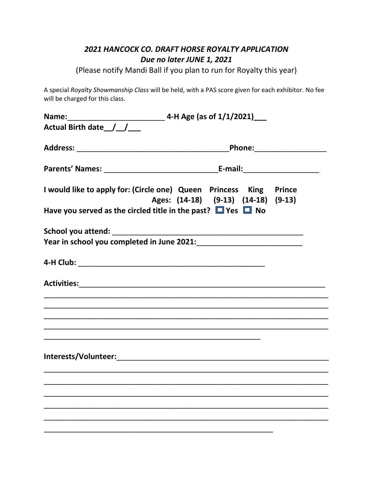# *2021 HANCOCK CO. DRAFT HORSE ROYALTY APPLICATION Due no later JUNE 1, 2021*

(Please notify Mandi Ball if you plan to run for Royalty this year)

A special *Royalty Showmanship Class* will be held, with a PAS score given for each exhibitor. No fee will be charged for this class.

| Actual Birth date / / |                                                                                                                       |
|-----------------------|-----------------------------------------------------------------------------------------------------------------------|
|                       |                                                                                                                       |
|                       |                                                                                                                       |
|                       | I would like to apply for: (Circle one) Queen Princess King Prince<br>Ages: (14-18) (9-13) (14-18) (9-13)             |
|                       | Have you served as the circled title in the past? $\Box$ Yes $\Box$ No                                                |
|                       |                                                                                                                       |
|                       |                                                                                                                       |
|                       |                                                                                                                       |
|                       |                                                                                                                       |
|                       |                                                                                                                       |
|                       |                                                                                                                       |
|                       | <u> 1989 - Johann Stoff, amerikan bestein de stad in de stad in de stad in de stad in de stad in de stad in de st</u> |
|                       |                                                                                                                       |
|                       |                                                                                                                       |
|                       |                                                                                                                       |
|                       |                                                                                                                       |
|                       |                                                                                                                       |
|                       |                                                                                                                       |
|                       |                                                                                                                       |